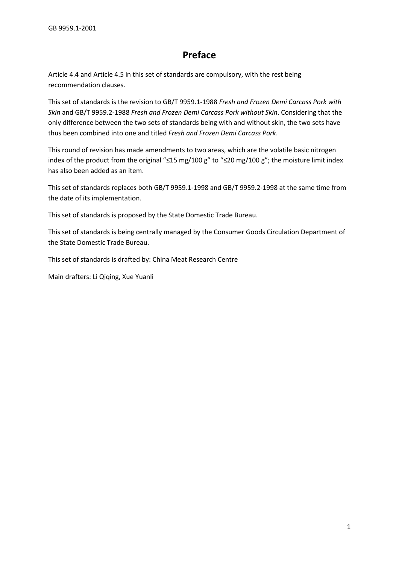# **Preface**

Article 4.4 and Article 4.5 in this set of standards are compulsory, with the rest being recommendation clauses.

This set of standards is the revision to GB/T 9959.1-1988 *Fresh and Frozen Demi Carcass Pork with Skin* and GB/T 9959.2-1988 *Fresh and Frozen Demi Carcass Pork without Skin*. Considering that the only difference between the two sets of standards being with and without skin, the two sets have thus been combined into one and titled *Fresh and Frozen Demi Carcass Pork*.

This round of revision has made amendments to two areas, which are the volatile basic nitrogen index of the product from the original "≤15 mg/100 g" to "≤20 mg/100 g"; the moisture limit index has also been added as an item.

This set of standards replaces both GB/T 9959.1-1998 and GB/T 9959.2-1998 at the same time from the date of its implementation.

This set of standards is proposed by the State Domestic Trade Bureau.

This set of standards is being centrally managed by the Consumer Goods Circulation Department of the State Domestic Trade Bureau.

This set of standards is drafted by: China Meat Research Centre

Main drafters: Li Qiqing, Xue Yuanli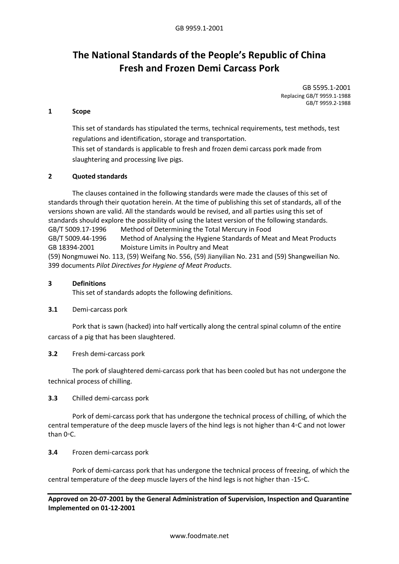# **The National Standards of the People's Republic of China Fresh and Frozen Demi Carcass Pork**

GB 5595.1-2001 Replacing GB/T 9959.1-1988 GB/T 9959.2-1988

#### **1 Scope**

This set of standards has stipulated the terms, technical requirements, test methods, test regulations and identification, storage and transportation.

This set of standards is applicable to fresh and frozen demi carcass pork made from slaughtering and processing live pigs.

#### **2 Quoted standards**

The clauses contained in the following standards were made the clauses of this set of standards through their quotation herein. At the time of publishing this set of standards, all of the versions shown are valid. All the standards would be revised, and all parties using this set of standards should explore the possibility of using the latest version of the following standards. GB/T 5009.17-1996 Method of Determining the Total Mercury in Food GB/T 5009.44-1996 Method of Analysing the Hygiene Standards of Meat and Meat Products GB 18394-2001 Moisture Limits in Poultry and Meat (59) Nongmuwei No. 113, (59) Weifang No. 556, (59) Jianyilian No. 231 and (59) Shangweilian No. 399 documents *Pilot Directives for Hygiene of Meat Products*.

#### **3 Definitions**

This set of standards adopts the following definitions.

## **3.1** Demi-carcass pork

Pork that is sawn (hacked) into half vertically along the central spinal column of the entire carcass of a pig that has been slaughtered.

#### **3.2** Fresh demi-carcass pork

The pork of slaughtered demi-carcass pork that has been cooled but has not undergone the technical process of chilling.

#### **3.3** Chilled demi-carcass pork

Pork of demi-carcass pork that has undergone the technical process of chilling, of which the central temperature of the deep muscle layers of the hind legs is not higher than 4◦C and not lower than 0◦C.

#### **3.4** Frozen demi-carcass pork

Pork of demi-carcass pork that has undergone the technical process of freezing, of which the central temperature of the deep muscle layers of the hind legs is not higher than -15◦C.

**Approved on 20-07-2001 by the General Administration of Supervision, Inspection and Quarantine Implemented on 01-12-2001**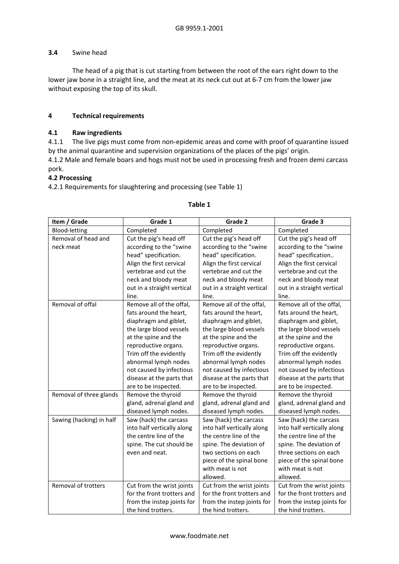## **3.4** Swine head

The head of a pig that is cut starting from between the root of the ears right down to the lower jaw bone in a straight line, and the meat at its neck cut out at 6-7 cm from the lower jaw without exposing the top of its skull.

# **4 Technical requirements**

## **4.1 Raw ingredients**

4.1.1 The live pigs must come from non-epidemic areas and come with proof of quarantine issued by the animal quarantine and supervision organizations of the places of the pigs' origin.

4.1.2 Male and female boars and hogs must not be used in processing fresh and frozen demi carcass pork.

## **4.2 Processing**

4.2.1 Requirements for slaughtering and processing (see Table 1)

| Item / Grade             | Grade 1                    | Grade 2                    | Grade 3                    |
|--------------------------|----------------------------|----------------------------|----------------------------|
| Blood-letting            | Completed                  | Completed                  | Completed                  |
| Removal of head and      | Cut the pig's head off     | Cut the pig's head off     | Cut the pig's head off     |
| neck meat                | according to the "swine    | according to the "swine    | according to the "swine    |
|                          | head" specification.       | head" specification.       | head" specification        |
|                          | Align the first cervical   | Align the first cervical   | Align the first cervical   |
|                          | vertebrae and cut the      | vertebrae and cut the      | vertebrae and cut the      |
|                          | neck and bloody meat       | neck and bloody meat       | neck and bloody meat       |
|                          | out in a straight vertical | out in a straight vertical | out in a straight vertical |
|                          | line.                      | line.                      | line.                      |
| Removal of offal         | Remove all of the offal,   | Remove all of the offal,   | Remove all of the offal,   |
|                          | fats around the heart,     | fats around the heart,     | fats around the heart,     |
|                          | diaphragm and giblet,      | diaphragm and giblet,      | diaphragm and giblet,      |
|                          | the large blood vessels    | the large blood vessels    | the large blood vessels    |
|                          | at the spine and the       | at the spine and the       | at the spine and the       |
|                          | reproductive organs.       | reproductive organs.       | reproductive organs.       |
|                          | Trim off the evidently     | Trim off the evidently     | Trim off the evidently     |
|                          | abnormal lymph nodes       | abnormal lymph nodes       | abnormal lymph nodes       |
|                          | not caused by infectious   | not caused by infectious   | not caused by infectious   |
|                          | disease at the parts that  | disease at the parts that  | disease at the parts that  |
|                          | are to be inspected.       | are to be inspected.       | are to be inspected.       |
| Removal of three glands  | Remove the thyroid         | Remove the thyroid         | Remove the thyroid         |
|                          | gland, adrenal gland and   | gland, adrenal gland and   | gland, adrenal gland and   |
|                          | diseased lymph nodes.      | diseased lymph nodes.      | diseased lymph nodes.      |
| Sawing (hacking) in half | Saw (hack) the carcass     | Saw (hack) the carcass     | Saw (hack) the carcass     |
|                          | into half vertically along | into half vertically along | into half vertically along |
|                          | the centre line of the     | the centre line of the     | the centre line of the     |
|                          | spine. The cut should be   | spine. The deviation of    | spine. The deviation of    |
|                          | even and neat.             | two sections on each       | three sections on each     |
|                          |                            | piece of the spinal bone   | piece of the spinal bone   |
|                          |                            | with meat is not           | with meat is not           |
|                          |                            | allowed.                   | allowed.                   |
| Removal of trotters      | Cut from the wrist joints  | Cut from the wrist joints  | Cut from the wrist joints  |
|                          | for the front trotters and | for the front trotters and | for the front trotters and |
|                          | from the instep joints for | from the instep joints for | from the instep joints for |
|                          | the hind trotters.         | the hind trotters.         | the hind trotters.         |

#### **Table 1**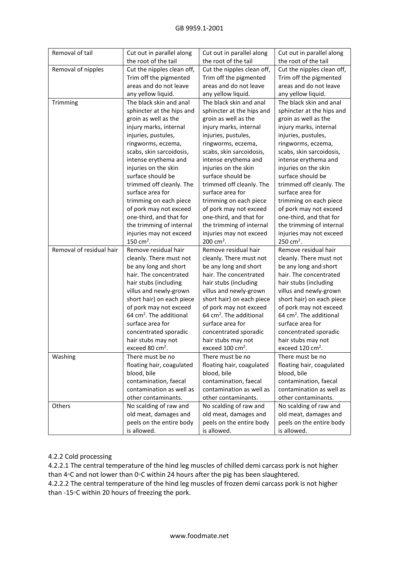| Removal of tail          | Cut out in parallel along           | Cut out in parallel along           | Cut out in parallel along           |
|--------------------------|-------------------------------------|-------------------------------------|-------------------------------------|
|                          | the root of the tail                | the root of the tail                | the root of the tail                |
| Removal of nipples       | Cut the nipples clean off,          | Cut the nipples clean off,          | Cut the nipples clean off,          |
|                          | Trim off the pigmented              | Trim off the pigmented              | Trim off the pigmented              |
|                          | areas and do not leave              | areas and do not leave              | areas and do not leave              |
|                          | any yellow liquid.                  | any yellow liquid.                  | any yellow liquid.                  |
| Trimming                 | The black skin and anal             | The black skin and anal             | The black skin and anal             |
|                          | sphincter at the hips and           | sphincter at the hips and           | sphincter at the hips and           |
|                          | groin as well as the                | groin as well as the                | groin as well as the                |
|                          | injury marks, internal              | injury marks, internal              | injury marks, internal              |
|                          | injuries, pustules,                 | injuries, pustules,                 | injuries, pustules,                 |
|                          | ringworms, eczema,                  | ringworms, eczema,                  | ringworms, eczema,                  |
|                          | scabs, skin sarcoidosis,            | scabs, skin sarcoidosis,            | scabs, skin sarcoidosis,            |
|                          | intense erythema and                | intense erythema and                | intense erythema and                |
|                          | injuries on the skin                | injuries on the skin                | injuries on the skin                |
|                          | surface should be                   | surface should be                   | surface should be                   |
|                          | trimmed off cleanly. The            | trimmed off cleanly. The            | trimmed off cleanly. The            |
|                          | surface area for                    | surface area for                    | surface area for                    |
|                          | trimming on each piece              | trimming on each piece              | trimming on each piece              |
|                          | of pork may not exceed              | of pork may not exceed              | of pork may not exceed              |
|                          | one-third, and that for             | one-third, and that for             | one-third, and that for             |
|                          | the trimming of internal            | the trimming of internal            | the trimming of internal            |
|                          | injuries may not exceed             | injuries may not exceed             | injuries may not exceed             |
|                          | 150 cm <sup>2</sup> .               | 200 cm <sup>2</sup> .               | 250 cm <sup>2</sup> .               |
| Removal of residual hair | Remove residual hair                | Remove residual hair                | Remove residual hair                |
|                          | cleanly. There must not             | cleanly. There must not             | cleanly. There must not             |
|                          | be any long and short               | be any long and short               | be any long and short               |
|                          | hair. The concentrated              | hair. The concentrated              | hair. The concentrated              |
|                          | hair stubs (including               | hair stubs (including               | hair stubs (including               |
|                          | villus and newly-grown              | villus and newly-grown              | villus and newly-grown              |
|                          | short hair) on each piece           | short hair) on each piece           | short hair) on each piece           |
|                          | of pork may not exceed              | of pork may not exceed              | of pork may not exceed              |
|                          | 64 cm <sup>2</sup> . The additional | 64 cm <sup>2</sup> . The additional | 64 cm <sup>2</sup> . The additional |
|                          | surface area for                    | surface area for                    | surface area for                    |
|                          | concentrated sporadic               | concentrated sporadic               | concentrated sporadic               |
|                          | hair stubs may not                  | hair stubs may not                  | hair stubs may not                  |
|                          | exceed 80 cm <sup>2</sup> .         | exceed 100 cm <sup>2</sup> .        | exceed 120 $\text{cm}^2$ .          |
| Washing                  | There must be no                    | There must be no                    | There must be no                    |
|                          | floating hair, coagulated           | floating hair, coagulated           | floating hair, coagulated           |
|                          | blood, bile                         | blood, bile                         | blood, bile                         |
|                          | contamination, faecal               | contamination, faecal               | contamination, faecal               |
|                          | contamination as well as            | contamination as well as            | contamination as well as            |
|                          | other contaminants.                 | other contaminants.                 | other contaminants.                 |
| Others                   | No scalding of raw and              | No scalding of raw and              | No scalding of raw and              |
|                          | old meat, damages and               | old meat, damages and               | old meat, damages and               |
|                          | peels on the entire body            | peels on the entire body            | peels on the entire body            |
|                          | is allowed.                         | is allowed.                         | is allowed.                         |

# 4.2.2 Cold processing

4.2.2.1 The central temperature of the hind leg muscles of chilled demi carcass pork is not higher than 4◦C and not lower than 0◦C within 24 hours after the pig has been slaughtered. 4.2.2.2 The central temperature of the hind leg muscles of frozen demi carcass pork is not higher

than -15◦C within 20 hours of freezing the pork.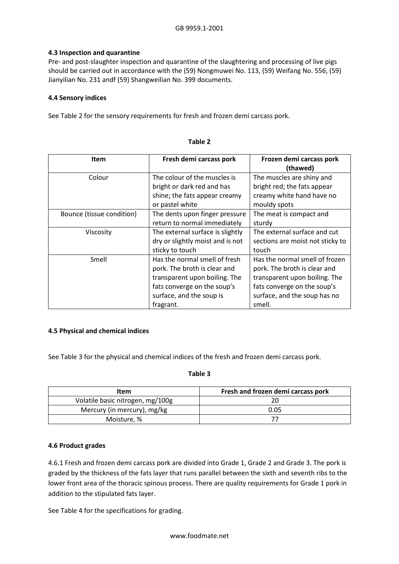# **4.3 Inspection and quarantine**

Pre- and post-slaughter inspection and quarantine of the slaughtering and processing of live pigs should be carried out in accordance with the (59) Nongmuwei No. 113, (59) Weifang No. 556, (59) Jianyilian No. 231 andf (59) Shangweilian No. 399 documents.

# **4.4 Sensory indices**

See Table 2 for the sensory requirements for fresh and frozen demi carcass pork.

| <b>Item</b>               | Fresh demi carcass pork          | Frozen demi carcass pork         |
|---------------------------|----------------------------------|----------------------------------|
|                           |                                  | (thawed)                         |
| Colour                    | The colour of the muscles is     | The muscles are shiny and        |
|                           | bright or dark red and has       | bright red; the fats appear      |
|                           | shine; the fats appear creamy    | creamy white hand have no        |
|                           | or pastel white                  | mouldy spots                     |
| Bounce (tissue condition) | The dents upon finger pressure   | The meat is compact and          |
|                           | return to normal immediately     | sturdy                           |
| Viscosity                 | The external surface is slightly | The external surface and cut     |
|                           | dry or slightly moist and is not | sections are moist not sticky to |
|                           | sticky to touch                  | touch                            |
| Smell                     | Has the normal smell of fresh    | Has the normal smell of frozen   |
|                           | pork. The broth is clear and     | pork. The broth is clear and     |
|                           | transparent upon boiling. The    | transparent upon boiling. The    |
|                           | fats converge on the soup's      | fats converge on the soup's      |
|                           | surface, and the soup is         | surface, and the soup has no     |
|                           | fragrant.                        | smell.                           |

# **Table 2**

## **4.5 Physical and chemical indices**

See Table 3 for the physical and chemical indices of the fresh and frozen demi carcass pork.

## **Table 3**

| Item                             | Fresh and frozen demi carcass pork |  |
|----------------------------------|------------------------------------|--|
| Volatile basic nitrogen, mg/100g |                                    |  |
| Mercury (in mercury), mg/kg      | 0.05                               |  |
| Moisture, %                      |                                    |  |

## **4.6 Product grades**

4.6.1 Fresh and frozen demi carcass pork are divided into Grade 1, Grade 2 and Grade 3. The pork is graded by the thickness of the fats layer that runs parallel between the sixth and seventh ribs to the lower front area of the thoracic spinous process. There are quality requirements for Grade 1 pork in addition to the stipulated fats layer.

See Table 4 for the specifications for grading.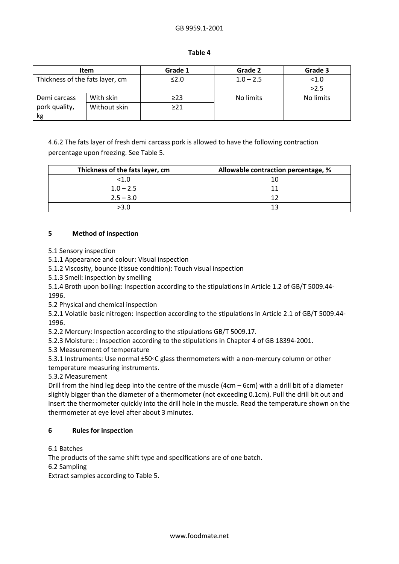| . .<br>۰,<br>×<br>۰.<br>× |  |
|---------------------------|--|
|---------------------------|--|

| <b>Item</b>                     |              | Grade 1   | Grade 2     | Grade 3   |
|---------------------------------|--------------|-----------|-------------|-----------|
| Thickness of the fats layer, cm |              | ≤2.0      | $1.0 - 2.5$ | < 1.0     |
|                                 |              |           |             | >2.5      |
| Demi carcass                    | With skin    | $\geq$ 23 | No limits   | No limits |
| pork quality,                   | Without skin | $\geq$ 21 |             |           |
| kg                              |              |           |             |           |

4.6.2 The fats layer of fresh demi carcass pork is allowed to have the following contraction percentage upon freezing. See Table 5.

| Thickness of the fats layer, cm | Allowable contraction percentage, % |
|---------------------------------|-------------------------------------|
| <1.0                            |                                     |
| $1.0 - 2.5$                     |                                     |
| $2.5 - 3.0$                     |                                     |
| >3.0                            |                                     |

# **5 Method of inspection**

5.1 Sensory inspection

5.1.1 Appearance and colour: Visual inspection

5.1.2 Viscosity, bounce (tissue condition): Touch visual inspection

5.1.3 Smell: inspection by smelling

5.1.4 Broth upon boiling: Inspection according to the stipulations in Article 1.2 of GB/T 5009.44- 1996.

5.2 Physical and chemical inspection

5.2.1 Volatile basic nitrogen: Inspection according to the stipulations in Article 2.1 of GB/T 5009.44- 1996.

5.2.2 Mercury: Inspection according to the stipulations GB/T 5009.17.

5.2.3 Moisture: : Inspection according to the stipulations in Chapter 4 of GB 18394-2001.

5.3 Measurement of temperature

5.3.1 Instruments: Use normal ±50◦C glass thermometers with a non-mercury column or other temperature measuring instruments.

5.3.2 Measurement

Drill from the hind leg deep into the centre of the muscle (4cm – 6cm) with a drill bit of a diameter slightly bigger than the diameter of a thermometer (not exceeding 0.1cm). Pull the drill bit out and insert the thermometer quickly into the drill hole in the muscle. Read the temperature shown on the thermometer at eye level after about 3 minutes.

# **6 Rules for inspection**

6.1 Batches

The products of the same shift type and specifications are of one batch.

6.2 Sampling

Extract samples according to Table 5.